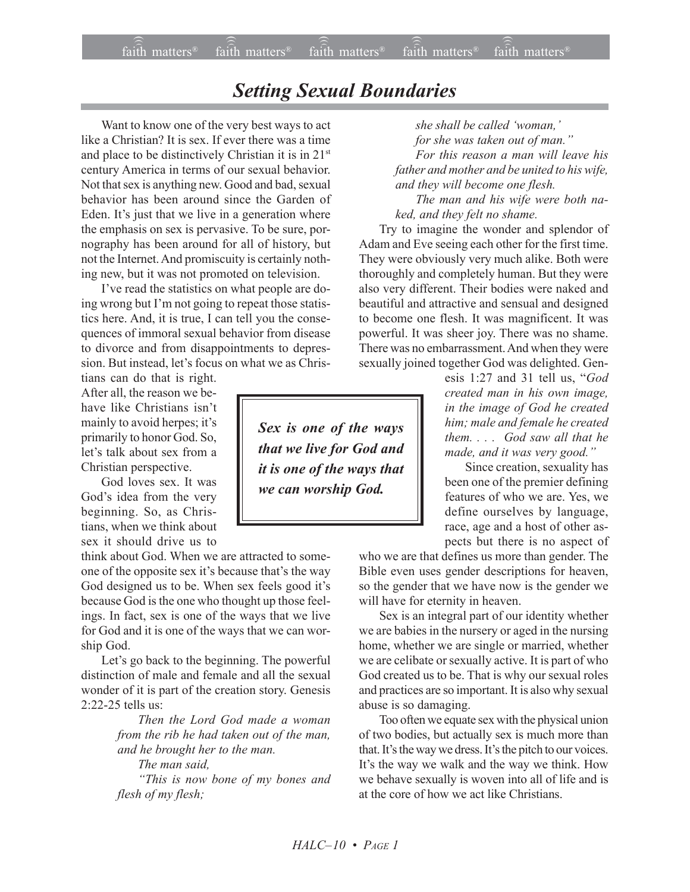## *Setting Sexual Boundaries*

Want to know one of the very best ways to act like a Christian? It is sex. If ever there was a time and place to be distinctively Christian it is in 21st century America in terms of our sexual behavior. Not that sex is anything new. Good and bad, sexual behavior has been around since the Garden of Eden. It's just that we live in a generation where the emphasis on sex is pervasive. To be sure, pornography has been around for all of history, but not the Internet. And promiscuity is certainly nothing new, but it was not promoted on television.

I've read the statistics on what people are doing wrong but I'm not going to repeat those statistics here. And, it is true, I can tell you the consequences of immoral sexual behavior from disease to divorce and from disappointments to depression. But instead, let's focus on what we as Chris-

tians can do that is right. After all, the reason we behave like Christians isn't mainly to avoid herpes; it's primarily to honor God. So, let's talk about sex from a Christian perspective.

God loves sex. It was God's idea from the very beginning. So, as Christians, when we think about sex it should drive us to

think about God. When we are attracted to someone of the opposite sex it's because that's the way God designed us to be. When sex feels good it's because God is the one who thought up those feelings. In fact, sex is one of the ways that we live for God and it is one of the ways that we can worship God.

Let's go back to the beginning. The powerful distinction of male and female and all the sexual wonder of it is part of the creation story. Genesis  $2.22 - 25$  tells us:

> *Then the Lord God made a woman from the rib he had taken out of the man, and he brought her to the man.*

> *The man said, ìThis is now bone of my bones and flesh of my flesh;*

*Sex is one of the ways that we live for God and it is one of the ways that we can worship God.*

she shall be called 'woman,'

*for she was taken out of man.*" *For this reason a man will leave his father and mother and be united to his wife, and they will become one flesh.*

*The man and his wife were both naked, and they felt no shame.*

Try to imagine the wonder and splendor of Adam and Eve seeing each other for the first time. They were obviously very much alike. Both were thoroughly and completely human. But they were also very different. Their bodies were naked and beautiful and attractive and sensual and designed to become one flesh. It was magnificent. It was powerful. It was sheer joy. There was no shame. There was no embarrassment. And when they were sexually joined together God was delighted. Gen-

> esis 1:27 and 31 tell us, *<sup><i>cGod*</sup></sup> *created man in his own image, in the image of God he created him; male and female he created them. . . . God saw all that he* made, and it was very good."

> Since creation, sexuality has been one of the premier defining features of who we are. Yes, we define ourselves by language, race, age and a host of other aspects but there is no aspect of

who we are that defines us more than gender. The Bible even uses gender descriptions for heaven, so the gender that we have now is the gender we will have for eternity in heaven.

Sex is an integral part of our identity whether we are babies in the nursery or aged in the nursing home, whether we are single or married, whether we are celibate or sexually active. It is part of who God created us to be. That is why our sexual roles and practices are so important. It is also why sexual abuse is so damaging.

Too often we equate sex with the physical union of two bodies, but actually sex is much more than that. It's the way we dress. It's the pitch to our voices. It's the way we walk and the way we think. How we behave sexually is woven into all of life and is at the core of how we act like Christians.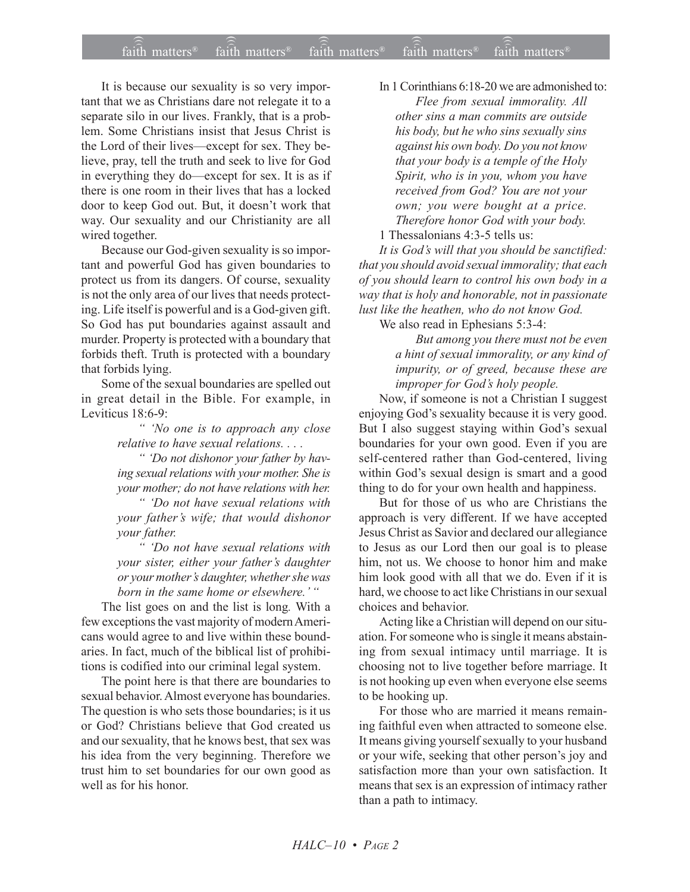## faith matters faith matters<sup>®</sup> faith matters<sup>®</sup> faith matters<sup>®</sup> faith matters<sup>®</sup>

It is because our sexuality is so very important that we as Christians dare not relegate it to a separate silo in our lives. Frankly, that is a problem. Some Christians insist that Jesus Christ is the Lord of their lives—except for sex. They believe, pray, tell the truth and seek to live for God in everything they do—except for sex. It is as if there is one room in their lives that has a locked door to keep God out. But, it doesn't work that way. Our sexuality and our Christianity are all wired together.

Because our God-given sexuality is so important and powerful God has given boundaries to protect us from its dangers. Of course, sexuality is not the only area of our lives that needs protecting. Life itself is powerful and is a God-given gift. So God has put boundaries against assault and murder. Property is protected with a boundary that forbids theft. Truth is protected with a boundary that forbids lying.

Some of the sexual boundaries are spelled out in great detail in the Bible. For example, in Leviticus 18:6-9:

> " 'No one is to approach any close relative to have sexual relations....

> " 'Do not dishonor your father by having sexual relations with your mother. She is your mother; do not have relations with her.

> " 'Do not have sexual relations with your father's wife; that would dishonor your father.

> " 'Do not have sexual relations with your sister, either your father's daughter or your mother's daughter, whether she was born in the same home or elsewhere.'"

The list goes on and the list is long. With a few exceptions the vast majority of modern Americans would agree to and live within these boundaries. In fact, much of the biblical list of prohibitions is codified into our criminal legal system.

The point here is that there are boundaries to sexual behavior. Almost everyone has boundaries. The question is who sets those boundaries; is it us or God? Christians believe that God created us and our sexuality, that he knows best, that sex was his idea from the very beginning. Therefore we trust him to set boundaries for our own good as well as for his honor

In 1 Corinthians 6:18-20 we are admonished to: Flee from sexual immorality. All other sins a man commits are outside his body, but he who sins sexually sins against his own body. Do you not know that your body is a temple of the Holy Spirit, who is in you, whom you have received from God? You are not your own; you were bought at a price. Therefore honor God with your body. 1 Thessalonians 4:3-5 tells us:

It is God's will that you should be sanctified: that you should avoid sexual immorality; that each of you should learn to control his own body in a way that is holy and honorable, not in passionate lust like the heathen, who do not know God.

We also read in Ephesians 5:3-4:

But among you there must not be even a hint of sexual immorality, or any kind of impurity, or of greed, because these are improper for God's holy people.

Now, if someone is not a Christian I suggest enjoying God's sexuality because it is very good. But I also suggest staying within God's sexual boundaries for your own good. Even if you are self-centered rather than God-centered, living within God's sexual design is smart and a good thing to do for your own health and happiness.

But for those of us who are Christians the approach is very different. If we have accepted Jesus Christ as Savior and declared our allegiance to Jesus as our Lord then our goal is to please him, not us. We choose to honor him and make him look good with all that we do. Even if it is hard, we choose to act like Christians in our sexual choices and behavior.

Acting like a Christian will depend on our situation. For someone who is single it means abstaining from sexual intimacy until marriage. It is choosing not to live together before marriage. It is not hooking up even when everyone else seems to be hooking up.

For those who are married it means remaining faithful even when attracted to someone else. It means giving yourself sexually to your husband or your wife, seeking that other person's joy and satisfaction more than your own satisfaction. It means that sex is an expression of intimacy rather than a path to intimacy.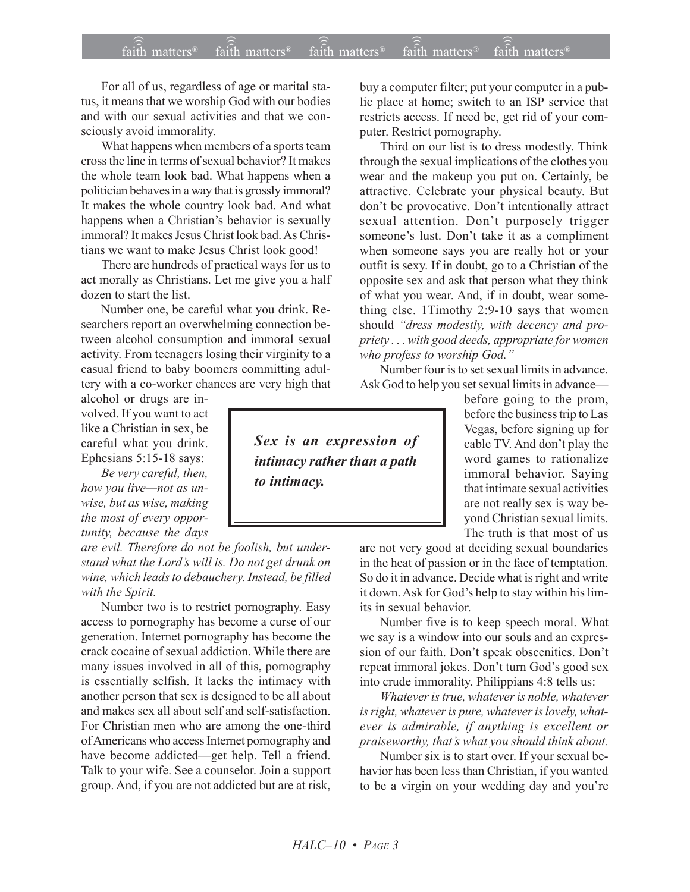For all of us, regardless of age or marital status, it means that we worship God with our bodies and with our sexual activities and that we consciously avoid immorality.

What happens when members of a sports team cross the line in terms of sexual behavior? It makes the whole team look bad. What happens when a politician behaves in a way that is grossly immoral? It makes the whole country look bad. And what happens when a Christian's behavior is sexually immoral? It makes Jesus Christ look bad. As Christians we want to make Jesus Christ look good!

There are hundreds of practical ways for us to act morally as Christians. Let me give you a half dozen to start the list.

Number one, be careful what you drink. Researchers report an overwhelming connection between alcohol consumption and immoral sexual activity. From teenagers losing their virginity to a casual friend to baby boomers committing adultery with a co-worker chances are very high that

alcohol or drugs are involved. If you want to act like a Christian in sex, be careful what you drink. Ephesians 5:15-18 says:

*Be very careful, then,* how you live-not as un*wise, but as wise, making the most of every opportunity, because the days*

*are evil. Therefore do not be foolish, but understand what the Lordís will is. Do not get drunk on wine, which leads to debauchery. Instead, be filled with the Spirit.*

Number two is to restrict pornography. Easy access to pornography has become a curse of our generation. Internet pornography has become the crack cocaine of sexual addiction. While there are many issues involved in all of this, pornography is essentially selfish. It lacks the intimacy with another person that sex is designed to be all about and makes sex all about self and self-satisfaction. For Christian men who are among the one-third of Americans who access Internet pornography and have become addicted—get help. Tell a friend. Talk to your wife. See a counselor. Join a support group. And, if you are not addicted but are at risk, buy a computer filter; put your computer in a public place at home; switch to an ISP service that restricts access. If need be, get rid of your computer. Restrict pornography.

Third on our list is to dress modestly. Think through the sexual implications of the clothes you wear and the makeup you put on. Certainly, be attractive. Celebrate your physical beauty. But don't be provocative. Don't intentionally attract sexual attention. Don't purposely trigger someone's lust. Don't take it as a compliment when someone says you are really hot or your outfit is sexy. If in doubt, go to a Christian of the opposite sex and ask that person what they think of what you wear. And, if in doubt, wear something else. 1Timothy 2:9-10 says that women should "dress modestly, with decency and pro*priety . . . with good deeds, appropriate for women* who profess to worship God.<sup>"</sup>

Number four is to set sexual limits in advance. Ask God to help you set sexual limits in advance—

*Sex is an expression of intimacy rather than a path to intimacy.*

before going to the prom, before the business trip to Las Vegas, before signing up for cable TV. And don't play the word games to rationalize immoral behavior. Saying that intimate sexual activities are not really sex is way beyond Christian sexual limits. The truth is that most of us

are not very good at deciding sexual boundaries in the heat of passion or in the face of temptation. So do it in advance. Decide what is right and write it down. Ask for God's help to stay within his limits in sexual behavior.

Number five is to keep speech moral. What we say is a window into our souls and an expression of our faith. Don't speak obscenities. Don't repeat immoral jokes. Don't turn God's good sex into crude immorality. Philippians 4:8 tells us:

*Whatever is true, whatever is noble, whatever is right, whatever is pure, whatever is lovely, whatever is admirable, if anything is excellent or* praiseworthy, that's what you should think about.

Number six is to start over. If your sexual behavior has been less than Christian, if you wanted to be a virgin on your wedding day and you're